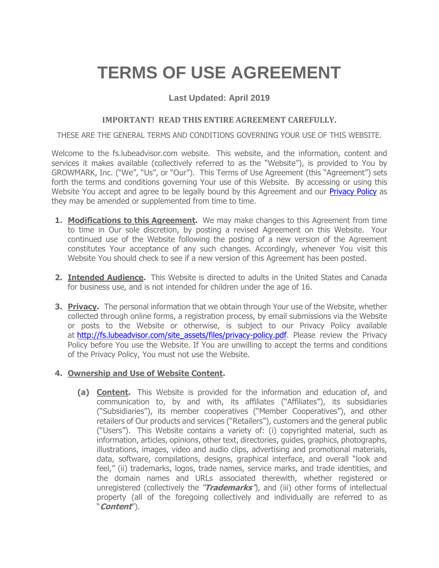# **TERMS OF USE AGREEMENT**

## **Last Updated: April 2019**

## **IMPORTANT! READ THIS ENTIRE AGREEMENT CAREFULLY.**

THESE ARE THE GENERAL TERMS AND CONDITIONS GOVERNING YOUR USE OF THIS WEBSITE.

Welcome to the fs.lubeadvisor.com website. This website, and the information, content and services it makes available (collectively referred to as the "Website"), is provided to You by GROWMARK, Inc. ("We", "Us", or "Our"). This Terms of Use Agreement (this "Agreement") sets forth the terms and conditions governing Your use of this Website. By accessing or using this Website You accept and agree to be legally bound by this Agreement and our **Privacy Policy** as they may be amended or supplemented from time to time.

- **1. Modifications to this Agreement.** We may make changes to this Agreement from time to time in Our sole discretion, by posting a revised Agreement on this Website. Your continued use of the Website following the posting of a new version of the Agreement constitutes Your acceptance of any such changes. Accordingly, whenever You visit this Website You should check to see if a new version of this Agreement has been posted.
- **2. Intended Audience.** This Website is directed to adults in the United States and Canada for business use, and is not intended for children under the age of 16.
- **3. Privacy.** The personal information that we obtain through Your use of the Website, whether collected through online forms, a registration process, by email submissions via the Website or posts to the Website or otherwise, is subject to our Privacy Policy available at [http://fs.lubeadvisor.com/site\\_assets/files/privacy-policy.pdf.](http://fs.lubeadvisor.com/site_assets/files/privacy-policy.pdf) Please review the Privacy Policy before You use the Website. If You are unwilling to accept the terms and conditions of the Privacy Policy, You must not use the Website.

## **4. Ownership and Use of Website Content.**

**(a) Content.** This Website is provided for the information and education of, and communication to, by and with, its affiliates ("Affiliates"), its subsidiaries ("Subsidiaries"), its member cooperatives ("Member Cooperatives"), and other retailers of Our products and services ("Retailers"), customers and the general public ("Users"). This Website contains a variety of: (i) copyrighted material, such as information, articles, opinions, other text, directories, guides, graphics, photographs, illustrations, images, video and audio clips, advertising and promotional materials, data, software, compilations, designs, graphical interface, and overall "look and feel," (ii) trademarks, logos, trade names, service marks, and trade identities, and the domain names and URLs associated therewith, whether registered or unregistered (collectively the "**Trademarks**"), and (iii) other forms of intellectual property (all of the foregoing collectively and individually are referred to as "**Content**").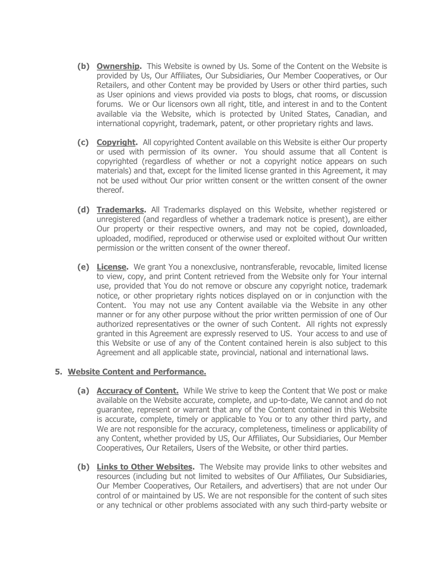- **(b) Ownership.** This Website is owned by Us. Some of the Content on the Website is provided by Us, Our Affiliates, Our Subsidiaries, Our Member Cooperatives, or Our Retailers, and other Content may be provided by Users or other third parties, such as User opinions and views provided via posts to blogs, chat rooms, or discussion forums. We or Our licensors own all right, title, and interest in and to the Content available via the Website, which is protected by United States, Canadian, and international copyright, trademark, patent, or other proprietary rights and laws.
- **(c) Copyright.** All copyrighted Content available on this Website is either Our property or used with permission of its owner. You should assume that all Content is copyrighted (regardless of whether or not a copyright notice appears on such materials) and that, except for the limited license granted in this Agreement, it may not be used without Our prior written consent or the written consent of the owner thereof.
- **(d) Trademarks.** All Trademarks displayed on this Website, whether registered or unregistered (and regardless of whether a trademark notice is present), are either Our property or their respective owners, and may not be copied, downloaded, uploaded, modified, reproduced or otherwise used or exploited without Our written permission or the written consent of the owner thereof.
- **(e) License.** We grant You a nonexclusive, nontransferable, revocable, limited license to view, copy, and print Content retrieved from the Website only for Your internal use, provided that You do not remove or obscure any copyright notice, trademark notice, or other proprietary rights notices displayed on or in conjunction with the Content. You may not use any Content available via the Website in any other manner or for any other purpose without the prior written permission of one of Our authorized representatives or the owner of such Content. All rights not expressly granted in this Agreement are expressly reserved to US. Your access to and use of this Website or use of any of the Content contained herein is also subject to this Agreement and all applicable state, provincial, national and international laws.

#### **5. Website Content and Performance.**

- **(a) Accuracy of Content.** While We strive to keep the Content that We post or make available on the Website accurate, complete, and up-to-date, We cannot and do not guarantee, represent or warrant that any of the Content contained in this Website is accurate, complete, timely or applicable to You or to any other third party, and We are not responsible for the accuracy, completeness, timeliness or applicability of any Content, whether provided by US, Our Affiliates, Our Subsidiaries, Our Member Cooperatives, Our Retailers, Users of the Website, or other third parties.
- **(b) Links to Other Websites.** The Website may provide links to other websites and resources (including but not limited to websites of Our Affiliates, Our Subsidiaries, Our Member Cooperatives, Our Retailers, and advertisers) that are not under Our control of or maintained by US. We are not responsible for the content of such sites or any technical or other problems associated with any such third-party website or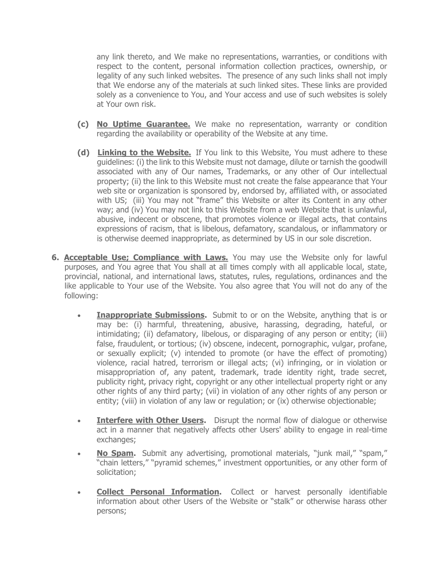any link thereto, and We make no representations, warranties, or conditions with respect to the content, personal information collection practices, ownership, or legality of any such linked websites. The presence of any such links shall not imply that We endorse any of the materials at such linked sites. These links are provided solely as a convenience to You, and Your access and use of such websites is solely at Your own risk.

- **(c) No Uptime Guarantee.** We make no representation, warranty or condition regarding the availability or operability of the Website at any time.
- **(d) Linking to the Website.** If You link to this Website, You must adhere to these guidelines: (i) the link to this Website must not damage, dilute or tarnish the goodwill associated with any of Our names, Trademarks, or any other of Our intellectual property; (ii) the link to this Website must not create the false appearance that Your web site or organization is sponsored by, endorsed by, affiliated with, or associated with US; (iii) You may not "frame" this Website or alter its Content in any other way; and (iv) You may not link to this Website from a web Website that is unlawful, abusive, indecent or obscene, that promotes violence or illegal acts, that contains expressions of racism, that is libelous, defamatory, scandalous, or inflammatory or is otherwise deemed inappropriate, as determined by US in our sole discretion.
- **6. Acceptable Use; Compliance with Laws.** You may use the Website only for lawful purposes, and You agree that You shall at all times comply with all applicable local, state, provincial, national, and international laws, statutes, rules, regulations, ordinances and the like applicable to Your use of the Website. You also agree that You will not do any of the following:
	- **Inappropriate Submissions.** Submit to or on the Website, anything that is or may be: (i) harmful, threatening, abusive, harassing, degrading, hateful, or intimidating; (ii) defamatory, libelous, or disparaging of any person or entity; (iii) false, fraudulent, or tortious; (iv) obscene, indecent, pornographic, vulgar, profane, or sexually explicit; (v) intended to promote (or have the effect of promoting) violence, racial hatred, terrorism or illegal acts; (vi) infringing, or in violation or misappropriation of, any patent, trademark, trade identity right, trade secret, publicity right, privacy right, copyright or any other intellectual property right or any other rights of any third party; (vii) in violation of any other rights of any person or entity; (viii) in violation of any law or regulation; or (ix) otherwise objectionable;
	- **Interfere with Other Users.** Disrupt the normal flow of dialogue or otherwise act in a manner that negatively affects other Users' ability to engage in real-time exchanges;
	- **No Spam.** Submit any advertising, promotional materials, "junk mail," "spam," "chain letters," "pyramid schemes," investment opportunities, or any other form of solicitation;
	- **Collect Personal Information.** Collect or harvest personally identifiable information about other Users of the Website or "stalk" or otherwise harass other persons;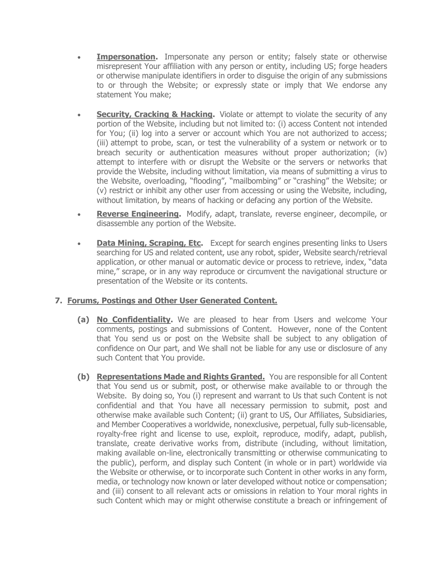- **Impersonation.** Impersonate any person or entity; falsely state or otherwise misrepresent Your affiliation with any person or entity, including US; forge headers or otherwise manipulate identifiers in order to disguise the origin of any submissions to or through the Website; or expressly state or imply that We endorse any statement You make;
- **Security, Cracking & Hacking.** Violate or attempt to violate the security of any portion of the Website, including but not limited to: (i) access Content not intended for You; (ii) log into a server or account which You are not authorized to access; (iii) attempt to probe, scan, or test the vulnerability of a system or network or to breach security or authentication measures without proper authorization; (iv) attempt to interfere with or disrupt the Website or the servers or networks that provide the Website, including without limitation, via means of submitting a virus to the Website, overloading, "flooding", "mailbombing" or "crashing" the Website; or (v) restrict or inhibit any other user from accessing or using the Website, including, without limitation, by means of hacking or defacing any portion of the Website.
- **Reverse Engineering.** Modify, adapt, translate, reverse engineer, decompile, or disassemble any portion of the Website.
- **Data Mining, Scraping, Etc.** Except for search engines presenting links to Users searching for US and related content, use any robot, spider, Website search/retrieval application, or other manual or automatic device or process to retrieve, index, "data mine," scrape, or in any way reproduce or circumvent the navigational structure or presentation of the Website or its contents.

## **7. Forums, Postings and Other User Generated Content.**

- **(a) No Confidentiality.** We are pleased to hear from Users and welcome Your comments, postings and submissions of Content. However, none of the Content that You send us or post on the Website shall be subject to any obligation of confidence on Our part, and We shall not be liable for any use or disclosure of any such Content that You provide.
- **(b) Representations Made and Rights Granted.** You are responsible for all Content that You send us or submit, post, or otherwise make available to or through the Website. By doing so, You (i) represent and warrant to Us that such Content is not confidential and that You have all necessary permission to submit, post and otherwise make available such Content; (ii) grant to US, Our Affiliates, Subsidiaries, and Member Cooperatives a worldwide, nonexclusive, perpetual, fully sub-licensable, royalty-free right and license to use, exploit, reproduce, modify, adapt, publish, translate, create derivative works from, distribute (including, without limitation, making available on-line, electronically transmitting or otherwise communicating to the public), perform, and display such Content (in whole or in part) worldwide via the Website or otherwise, or to incorporate such Content in other works in any form, media, or technology now known or later developed without notice or compensation; and (iii) consent to all relevant acts or omissions in relation to Your moral rights in such Content which may or might otherwise constitute a breach or infringement of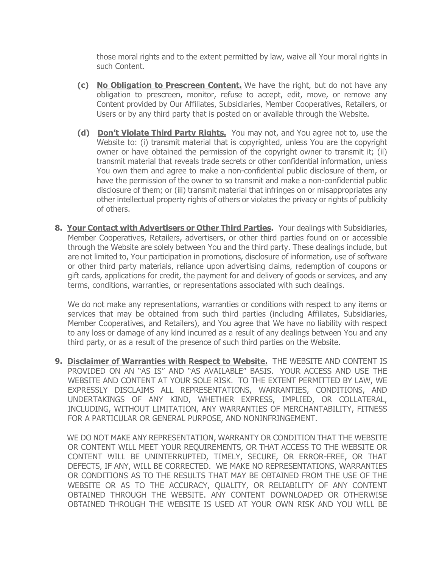those moral rights and to the extent permitted by law, waive all Your moral rights in such Content.

- **(c) No Obligation to Prescreen Content.** We have the right, but do not have any obligation to prescreen, monitor, refuse to accept, edit, move, or remove any Content provided by Our Affiliates, Subsidiaries, Member Cooperatives, Retailers, or Users or by any third party that is posted on or available through the Website.
- **(d) Don't Violate Third Party Rights.** You may not, and You agree not to, use the Website to: (i) transmit material that is copyrighted, unless You are the copyright owner or have obtained the permission of the copyright owner to transmit it; (ii) transmit material that reveals trade secrets or other confidential information, unless You own them and agree to make a non-confidential public disclosure of them, or have the permission of the owner to so transmit and make a non-confidential public disclosure of them; or (iii) transmit material that infringes on or misappropriates any other intellectual property rights of others or violates the privacy or rights of publicity of others.
- **8. Your Contact with Advertisers or Other Third Parties.** Your dealings with Subsidiaries, Member Cooperatives, Retailers, advertisers, or other third parties found on or accessible through the Website are solely between You and the third party. These dealings include, but are not limited to, Your participation in promotions, disclosure of information, use of software or other third party materials, reliance upon advertising claims, redemption of coupons or gift cards, applications for credit, the payment for and delivery of goods or services, and any terms, conditions, warranties, or representations associated with such dealings.

We do not make any representations, warranties or conditions with respect to any items or services that may be obtained from such third parties (including Affiliates, Subsidiaries, Member Cooperatives, and Retailers), and You agree that We have no liability with respect to any loss or damage of any kind incurred as a result of any dealings between You and any third party, or as a result of the presence of such third parties on the Website.

**9. Disclaimer of Warranties with Respect to Website.** THE WEBSITE AND CONTENT IS PROVIDED ON AN "AS IS" AND "AS AVAILABLE" BASIS. YOUR ACCESS AND USE THE WEBSITE AND CONTENT AT YOUR SOLE RISK. TO THE EXTENT PERMITTED BY LAW, WE EXPRESSLY DISCLAIMS ALL REPRESENTATIONS, WARRANTIES, CONDITIONS, AND UNDERTAKINGS OF ANY KIND, WHETHER EXPRESS, IMPLIED, OR COLLATERAL, INCLUDING, WITHOUT LIMITATION, ANY WARRANTIES OF MERCHANTABILITY, FITNESS FOR A PARTICULAR OR GENERAL PURPOSE, AND NONINFRINGEMENT.

WE DO NOT MAKE ANY REPRESENTATION, WARRANTY OR CONDITION THAT THE WEBSITE OR CONTENT WILL MEET YOUR REQUIREMENTS, OR THAT ACCESS TO THE WEBSITE OR CONTENT WILL BE UNINTERRUPTED, TIMELY, SECURE, OR ERROR-FREE, OR THAT DEFECTS, IF ANY, WILL BE CORRECTED. WE MAKE NO REPRESENTATIONS, WARRANTIES OR CONDITIONS AS TO THE RESULTS THAT MAY BE OBTAINED FROM THE USE OF THE WEBSITE OR AS TO THE ACCURACY, QUALITY, OR RELIABILITY OF ANY CONTENT OBTAINED THROUGH THE WEBSITE. ANY CONTENT DOWNLOADED OR OTHERWISE OBTAINED THROUGH THE WEBSITE IS USED AT YOUR OWN RISK AND YOU WILL BE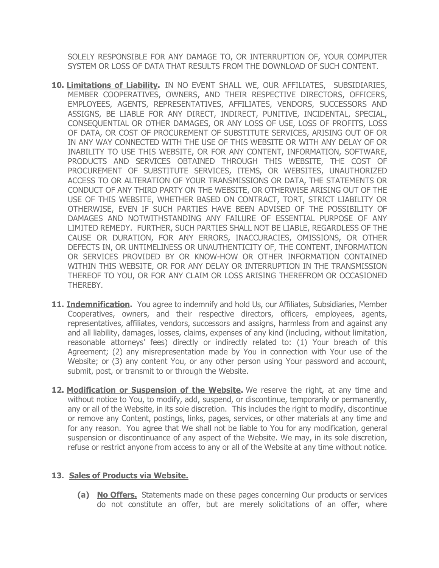SOLELY RESPONSIBLE FOR ANY DAMAGE TO, OR INTERRUPTION OF, YOUR COMPUTER SYSTEM OR LOSS OF DATA THAT RESULTS FROM THE DOWNLOAD OF SUCH CONTENT.

- **10. Limitations of Liability.** IN NO EVENT SHALL WE, OUR AFFILIATES, SUBSIDIARIES, MEMBER COOPERATIVES, OWNERS, AND THEIR RESPECTIVE DIRECTORS, OFFICERS, EMPLOYEES, AGENTS, REPRESENTATIVES, AFFILIATES, VENDORS, SUCCESSORS AND ASSIGNS, BE LIABLE FOR ANY DIRECT, INDIRECT, PUNITIVE, INCIDENTAL, SPECIAL, CONSEQUENTIAL OR OTHER DAMAGES, OR ANY LOSS OF USE, LOSS OF PROFITS, LOSS OF DATA, OR COST OF PROCUREMENT OF SUBSTITUTE SERVICES, ARISING OUT OF OR IN ANY WAY CONNECTED WITH THE USE OF THIS WEBSITE OR WITH ANY DELAY OF OR INABILITY TO USE THIS WEBSITE, OR FOR ANY CONTENT, INFORMATION, SOFTWARE, PRODUCTS AND SERVICES OBTAINED THROUGH THIS WEBSITE, THE COST OF PROCUREMENT OF SUBSTITUTE SERVICES, ITEMS, OR WEBSITES, UNAUTHORIZED ACCESS TO OR ALTERATION OF YOUR TRANSMISSIONS OR DATA, THE STATEMENTS OR CONDUCT OF ANY THIRD PARTY ON THE WEBSITE, OR OTHERWISE ARISING OUT OF THE USE OF THIS WEBSITE, WHETHER BASED ON CONTRACT, TORT, STRICT LIABILITY OR OTHERWISE, EVEN IF SUCH PARTIES HAVE BEEN ADVISED OF THE POSSIBILITY OF DAMAGES AND NOTWITHSTANDING ANY FAILURE OF ESSENTIAL PURPOSE OF ANY LIMITED REMEDY. FURTHER, SUCH PARTIES SHALL NOT BE LIABLE, REGARDLESS OF THE CAUSE OR DURATION, FOR ANY ERRORS, INACCURACIES, OMISSIONS, OR OTHER DEFECTS IN, OR UNTIMELINESS OR UNAUTHENTICITY OF, THE CONTENT, INFORMATION OR SERVICES PROVIDED BY OR KNOW-HOW OR OTHER INFORMATION CONTAINED WITHIN THIS WEBSITE, OR FOR ANY DELAY OR INTERRUPTION IN THE TRANSMISSION THEREOF TO YOU, OR FOR ANY CLAIM OR LOSS ARISING THEREFROM OR OCCASIONED THEREBY.
- **11. Indemnification.** You agree to indemnify and hold Us, our Affiliates, Subsidiaries, Member Cooperatives, owners, and their respective directors, officers, employees, agents, representatives, affiliates, vendors, successors and assigns, harmless from and against any and all liability, damages, losses, claims, expenses of any kind (including, without limitation, reasonable attorneys' fees) directly or indirectly related to: (1) Your breach of this Agreement; (2) any misrepresentation made by You in connection with Your use of the Website; or (3) any content You, or any other person using Your password and account, submit, post, or transmit to or through the Website.
- **12. Modification or Suspension of the Website.** We reserve the right, at any time and without notice to You, to modify, add, suspend, or discontinue, temporarily or permanently, any or all of the Website, in its sole discretion. This includes the right to modify, discontinue or remove any Content, postings, links, pages, services, or other materials at any time and for any reason. You agree that We shall not be liable to You for any modification, general suspension or discontinuance of any aspect of the Website. We may, in its sole discretion, refuse or restrict anyone from access to any or all of the Website at any time without notice.

## **13. Sales of Products via Website.**

**(a) No Offers.** Statements made on these pages concerning Our products or services do not constitute an offer, but are merely solicitations of an offer, where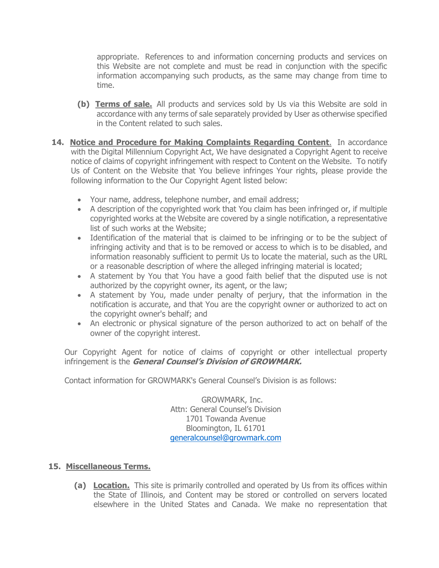appropriate. References to and information concerning products and services on this Website are not complete and must be read in conjunction with the specific information accompanying such products, as the same may change from time to time.

- **(b) Terms of sale.** All products and services sold by Us via this Website are sold in accordance with any terms of sale separately provided by User as otherwise specified in the Content related to such sales.
- **14. Notice and Procedure for Making Complaints Regarding Content**. In accordance with the Digital Millennium Copyright Act, We have designated a Copyright Agent to receive notice of claims of copyright infringement with respect to Content on the Website. To notify Us of Content on the Website that You believe infringes Your rights, please provide the following information to the Our Copyright Agent listed below:
	- Your name, address, telephone number, and email address;
	- A description of the copyrighted work that You claim has been infringed or, if multiple copyrighted works at the Website are covered by a single notification, a representative list of such works at the Website;
	- Identification of the material that is claimed to be infringing or to be the subject of infringing activity and that is to be removed or access to which is to be disabled, and information reasonably sufficient to permit Us to locate the material, such as the URL or a reasonable description of where the alleged infringing material is located;
	- A statement by You that You have a good faith belief that the disputed use is not authorized by the copyright owner, its agent, or the law;
	- A statement by You, made under penalty of perjury, that the information in the notification is accurate, and that You are the copyright owner or authorized to act on the copyright owner's behalf; and
	- An electronic or physical signature of the person authorized to act on behalf of the owner of the copyright interest.

Our Copyright Agent for notice of claims of copyright or other intellectual property infringement is the **General Counsel's Division of GROWMARK.**

Contact information for GROWMARK's General Counsel's Division is as follows:

GROWMARK, Inc. Attn: General Counsel's Division 1701 Towanda Avenue Bloomington, IL 61701 [generalcounsel@growmark.com](mailto:generalcounsel@growmark.com)

## **15. Miscellaneous Terms.**

**(a) Location.** This site is primarily controlled and operated by Us from its offices within the State of Illinois, and Content may be stored or controlled on servers located elsewhere in the United States and Canada. We make no representation that